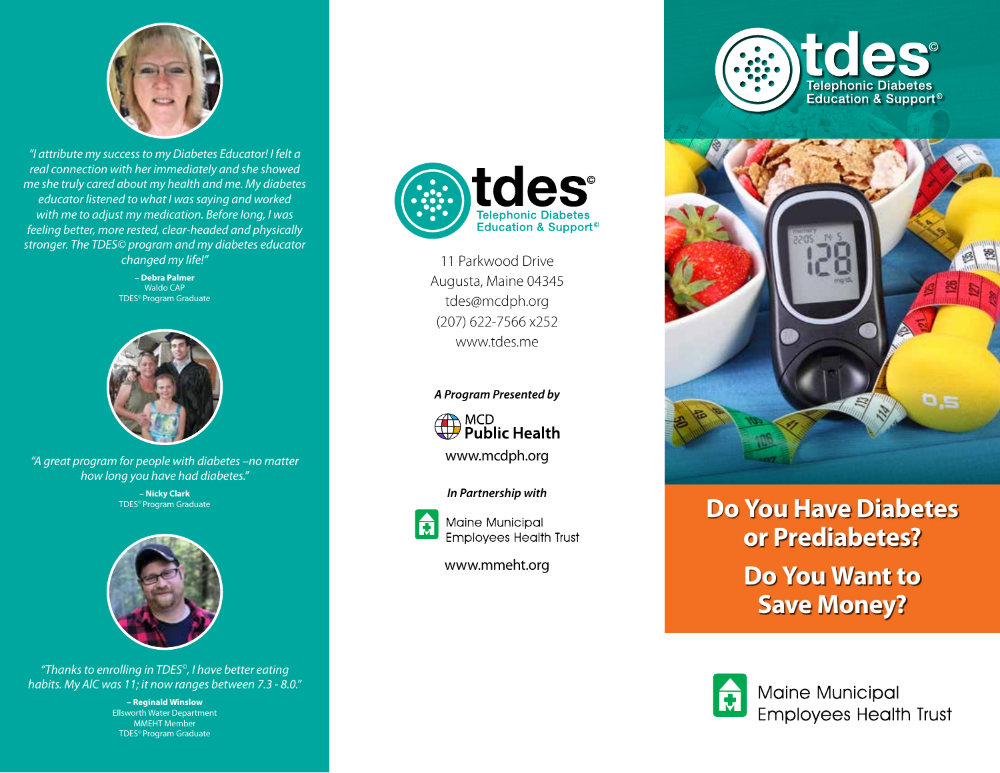

*"I attribute my success to my Diabetes Educator! I felt a real connection with her immediately and she showed me she truly cared about my health and me. My diabetes educator listened to what I was saying and worked with me to adjust my medication. Before long, I was feeling better, more rested, clear-headed and physically stronger. The TDES© program and my diabetes educator changed my life!"* 

> **– Debra Palmer** Waldo CAP TDES© Program Graduate



*"A great program for people with diabetes –no matter how long you have had diabetes."* 

> **– Nicky Clark** TDES© Program Graduate



*"Thanks to enrolling in TDES©, I have better eating habits. My AlC was 11; it now ranges between 7.3 - 8.0."*

> **– Reginald Winslow** Ellsworth Water Department MMEHT Member TDES© Program Graduate



11 Parkwood Drive Augusta, Maine 04345 tdes@mcdph.org (207) 622-7566 x252 www.tdes.me

#### *A Program Presented by*



www.mcdph.org

#### *In Partnership with*



**Maine Municipal Employees Health Trust** 

www.mmeht.org





## **Do You Have Diabetes or Prediabetes? Do You Want to Save Money?**



Maine Municipal **Employees Health Trust**